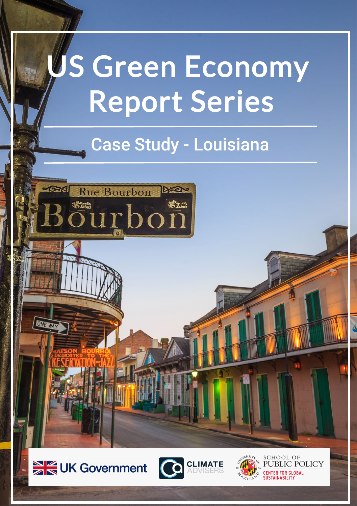# US Green Economy Report Series

## Case Study - Louisiana

**Rue Bourbon** 



**ONE WAY** 





**SCHOOL OF** PUBLIC POLICY **CENTER FOR GLOBAL**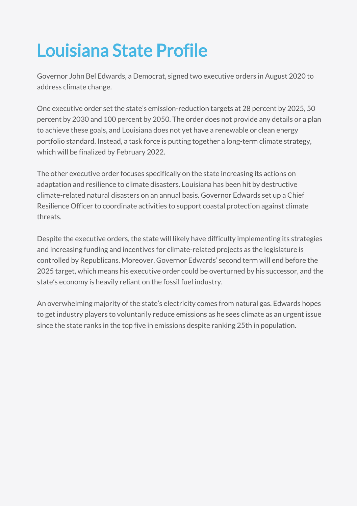## Louisiana State Profile

Governor John Bel Edwards, a Democrat, signed two [executive](https://gov.louisiana.gov/index.cfm/newsroom/detail/2647) orders in August 2020 to address climate change.

One executive order set the state's emission-reduction targets at 28 percent by 2025, 50 percent by 2030 and 100 percent by 2050. The order does not provide any details or a plan to achieve these goals, and Louisiana does not yet have a renewable or clean energy portfolio standard. Instead, a task force is putting together a long-term climate strategy, which will be finalized by February 2022.

The other executive order focuses specifically on the state increasing its actions on adaptation and resilience to climate disasters. Louisiana has been hit by destructive climate-related natural disasters on an annual basis. Governor Edwards set up a Chief Resilience Officer to coordinate activities to support coastal protection against climate threats.

Despite the executive orders, the state will likely have difficulty implementing its strategies and increasing funding and incentives for climate-related projects as the legislature is controlled by Republicans. Moreover, Governor Edwards' second term will end before the 2025 target, which means his executive order could be overturned by his successor, and the state's economy is heavily reliant on the fossil fuel industry.

An overwhelming majority of the state's electricity [comes](https://www.eia.gov/state/?sid=LA#tabs-4) from natural gas. Edwards hopes to get industry players to voluntarily reduce emissions as he sees climate as an urgent issue since the state [ranks](https://www.eia.gov/environment/emissions/state/) in the top five in emissions despite ranking 25th in population.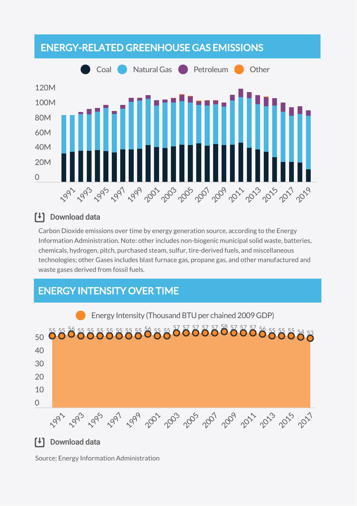

### [<sup>↓</sup>] Download data

Carbon Dioxide emissions over time by energy generation source, according to the Energy Information Administration. Note: other includes non-biogenic municipal solid waste, batteries, chemicals, hydrogen, pitch, purchased steam, sulfur, tire-derived fuels, and miscellaneous technologies; other Gases includes blast furnace gas, propane gas, and other manufactured and waste gases derived from fossil fuels.

## ENERGY INTENSITY OVER TIME



### [<sup>↓</sup>] Download data

Source: Energy Information Administration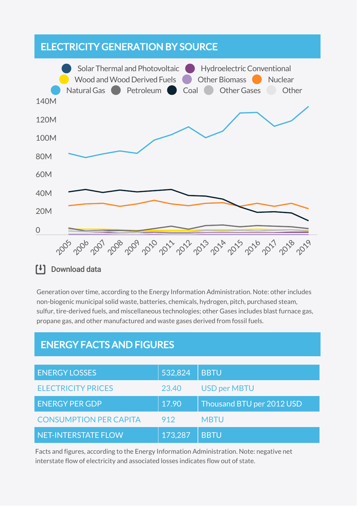### ELECTRICITY GENERATION BY SOURCE



Generation over time, according to the Energy Information Administration. Note: other includes non-biogenic municipal solid waste, batteries, chemicals, hydrogen, pitch, purchased steam, sulfur, tire-derived fuels, and miscellaneous technologies; other Gases includes blast furnace gas, propane gas, and other manufactured and waste gases derived from fossil fuels.

### ENERGY FACTS AND FIGURES

| <b>ENERGY LOSSES</b>          | 532,824 | <b>BBTU</b>               |
|-------------------------------|---------|---------------------------|
| <b>ELECTRICITY PRICES</b>     | 23.40   | <b>USD per MBTU</b>       |
| <b>ENERGY PER GDP</b>         | 17.90   | Thousand BTU per 2012 USD |
| <b>CONSUMPTION PER CAPITA</b> | 912     | <b>MBTU</b>               |
| NET-INTERSTATE FLOW           | 173,287 | <b>BBTU</b>               |

Facts and figures, according to the Energy Information Administration. Note: negative net interstate flow of electricity and associated losses indicates flow out of state.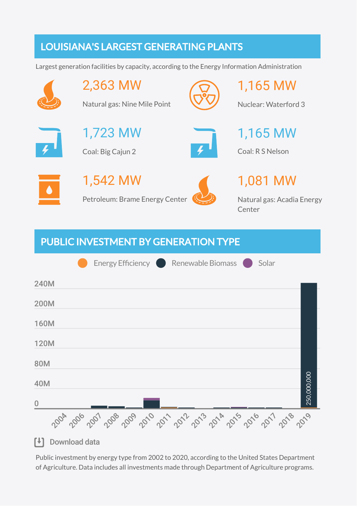## LOUISIANA'S LARGEST GENERATING PLANTS

Largest generation facilities by capacity, according to the Energy Information Administration



2,363 MW

1,723 MW

Coal: Big Cajun 2

Natural gas: Nine Mile Point



1,165 MW

Nuclear: Waterford 3

1,165 MW

Coal: R S Nelson



1,542 MW Petroleum: Brame Energy Center



1,081 MW

Natural gas: Acadia Energy Center

## PUBLIC INVESTMENT BY GENERATION TYPE



Public investment by energy type from 2002 to 2020, according to the United States Department of Agriculture. Data includes all investments made through Department of Agriculture programs.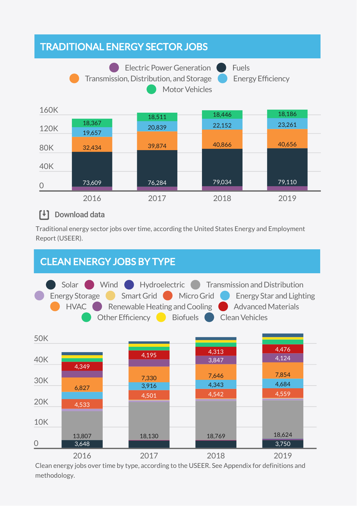## TRADITIONAL ENERGY SECTOR JOBS





### [+] Download data

Traditional energy sector jobs over time, according the United States Energy and Employment Report (USEER).

## CLEAN ENERGY JOBS BY TYPE





Clean energy jobs over time by type, according to the USEER. See Appendix for definitions and methodology.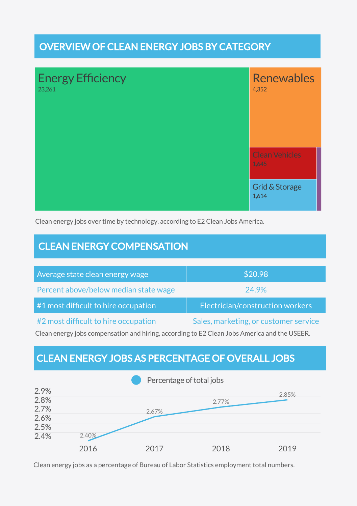## OVERVIEW OF CLEAN ENERGY JOBS BY CATEGORY



Clean energy jobs over time by technology, according to E2 Clean Jobs America.

## CLEAN ENERGY COMPENSATION

| Average state clean energy wage       | \$20.98                               |
|---------------------------------------|---------------------------------------|
| Percent above/below median state wage | 24.9%                                 |
| #1 most difficult to hire occupation  | Electrician/construction workers      |
| #2 most difficult to hire occupation  | Sales, marketing, or customer service |

Clean energy jobs compensation and hiring, according to E2 Clean Jobs America and the USEER.

## CLEAN ENERGY JOBS AS PERCENTAGE OF OVERALL JOBS



Clean energy jobs as a percentage of Bureau of Labor Statistics employment total numbers.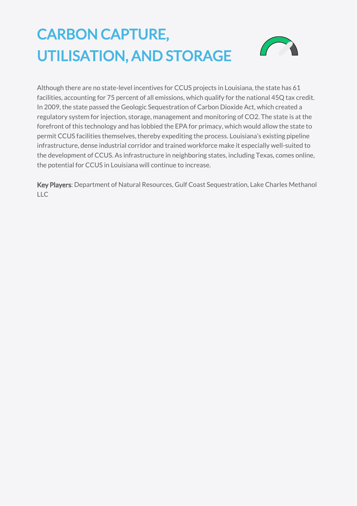## CARBON CAPTURE, UTILISATION, AND STORAGE



Although there are no state-level incentives for CCUS projects in Louisiana, the state [has](https://carboncaptureready.betterenergy.org/wp-content/uploads/2020/08/LA_7_23_2020.pdf) 61 facilities, accounting for 75 percent of all emissions, which qualify for the national 45Q tax credit. In 2009, the state passed the Geologic Sequestration of Carbon Dioxide Act, which created a regulatory system for injection, storage, management and monitoring of CO2. The state is at the forefront of this technology and has lobbied the EPA for primacy, which would allow the state to permit CCUS facilities themselves, thereby expediting the process. Louisiana's existing pipeline infrastructure, dense industrial corridor and trained workforce make it especially well-suited to the development of CCUS. As infrastructure in neighboring states, including Texas, comes online, the potential for CCUS in Louisiana will continue to increase.

Key Players: [Department](http://www.dnr.louisiana.gov/) of Natural Resources, Gulf Coast [Sequestration](https://gcscarbon.com/)[,](https://www.lakecharlesmethanol.com/) Lake Charles Methanol  $\overline{L}$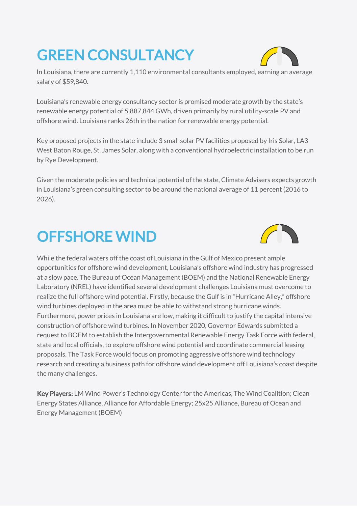## GREEN CONSULTANCY



In Louisiana, there are currently 1,110 environmental consultants [employed](https://www.careerexplorer.com/careers/environmental-consultant/job-market/), [earning](https://www.careerexplorer.com/careers/environmental-consultant/salary/) an average salary of \$59,840.

Louisiana's renewable energy consultancy sector is promised moderate growth by the state's renewable energy potential of [5,887,844](https://www.nrel.gov/gis/re-potential.html) GWh, driven primarily by rural utility-scale PV and offshore wind. Louisiana ranks 26th in the nation for renewable energy potential.

Key [proposed](https://www.eia.gov/electricity/data/eia860/) projects in the state include 3 small solar PV facilities proposed by Iris Solar, LA3 West Baton Rouge, St. James Solar, along with a conventional hydroelectric installation to be run by Rye Development.

Given the moderate policies and technical potential of the state, Climate Advisers expects growth in Louisiana's green consulting sector to be around the national average of 11 percent (2016 to 2026).

## OFFSHORE WIND



While the federal waters off the coast of Louisiana in the Gulf of Mexico present ample opportunities for offshore wind development, Louisiana's offshore wind industry has progressed at a slow pace. The Bureau of Ocean Management (BOEM) and the National Renewable Energy Laboratory (NREL) have identified several [development](https://energymonitor.ai/policy/just-transition/can-the-uss-offshore-oil-and-gas-hub-pivot-to-wind-energy) challenges Louisiana must overcome to realize the full offshore wind potential. Firstly, because the Gulf is in "Hurricane Alley," offshore wind turbines deployed in the area must be able to withstand strong hurricane winds. Furthermore, power prices in Louisiana are low, making it difficult to justify the capital intensive construction of offshore wind turbines. In November 2020, Governor Edwards submitted a [request](https://gov.louisiana.gov/index.cfm/newsroom/detail/2790) to BOEM to establish the Intergovernmental Renewable Energy Task Force with federal, state and local officials, to explore offshore wind potential and coordinate commercial leasing proposals. The Task Force would focus on promoting aggressive offshore wind technology research and creating a business path for offshore wind development off Louisiana's coast despite the many challenges.

[Key Players: LM](https://www.cesa.org/) Wind Power's [Technology](https://www.lmwindpower.com/en/stories-and-press/stories/news-from-lm-places/introducing-our-technology-center-americas) Center for the Americas, The Wind [Coalition](https://poweralliance.org/); Clean Energy States Alliance, Alliance for [Affordable](https://www.all4energy.org/) Energy; 25x25 [Alliance,](http://www.25x25.org/) Bureau of Ocean and Energy [Management](https://www.boem.gov/) (BOEM)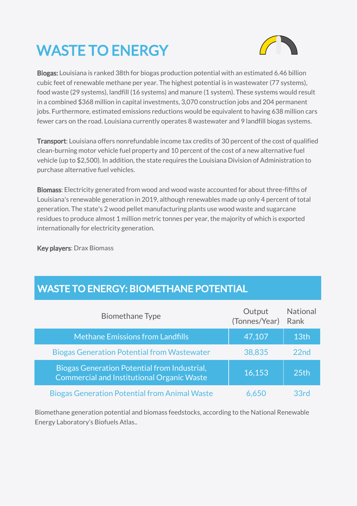## WASTE TO ENERGY



Biogas: Louisiana is [ranked](https://americanbiogascouncil.org/wp-content/uploads/2020/06/ABC-2020-State-Profiles-18.pdf) 38th for biogas production potential with an estimated 6.46 billion cubic feet of renewable methane per year. The highest potential is in wastewater (77 systems), food waste (29 systems), landfill (16 systems) and manure (1 system). These systems would result in a combined \$368 million in capital investments, 3,070 construction jobs and 204 permanent jobs. Furthermore, estimated emissions reductions would be equivalent to having 638 million cars fewer cars on the road. Louisiana currently operates 8 wastewater and 9 landfill biogas systems.

Transport: Louisiana [offers](https://afdc.energy.gov/fuels/laws/BIOD?state=LA) nonrefundable income tax credits of 30 percent of the cost of qualified clean-burning motor vehicle fuel property and 10 percent of the cost of a new alternative fuel vehicle (up to \$2,500). In addition, the state [requires](https://afdc.energy.gov/fuels/laws/BIOD?state=LA) the Louisiana Division of Administration to purchase alternative fuel vehicles.

Biomass: Electricity generated from wood and wood waste accounted for about [three-fifths](https://www.eia.gov/state/analysis.php?sid=LA) of Louisiana's renewable generation in 2019, although renewables made up only 4 percent of total generation. The state's 2 wood pellet manufacturing plants use wood waste and sugarcane residues to produce almost 1 million metric [tonnes](https://www.eia.gov/state/analysis.php?sid=LA) per year, the majority of which is exported internationally for electricity generation.

Key players: Drax [Biomass](https://www.draxbiomass.com/)

## WASTE TO ENERGY: BIOMETHANE POTENTIAL

| <b>Biomethane Type</b>                                                                                   | Output<br>(Tonnes/Year) | <b>National</b><br>Rank |
|----------------------------------------------------------------------------------------------------------|-------------------------|-------------------------|
| <b>Methane Emissions from Landfills</b>                                                                  | 47,107                  | 13th                    |
| <b>Biogas Generation Potential from Wastewater</b>                                                       | 38,835                  | 22 <sub>nd</sub>        |
| <b>Biogas Generation Potential from Industrial,</b><br><b>Commercial and Institutional Organic Waste</b> | 16,153                  | 25th                    |
| <b>Biogas Generation Potential from Animal Waste</b>                                                     | 6.65U                   | 33rd                    |

Biomethane generation potential and biomass feedstocks, according to the National Renewable Energy Laboratory's Biofuels Atlas..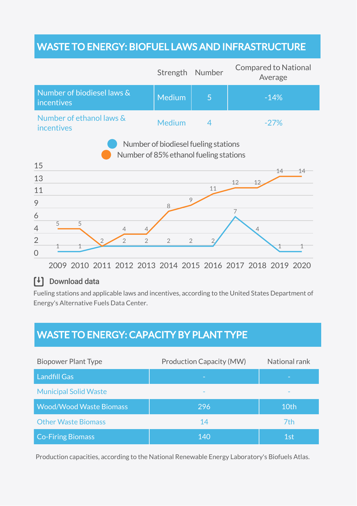## WASTE TO ENERGY: BIOFUEL LAWS AND INFRASTRUCTURE

|                                                                                | Strength                         | Number         | <b>Compared to National</b><br>Average |  |  |
|--------------------------------------------------------------------------------|----------------------------------|----------------|----------------------------------------|--|--|
| Number of biodiesel laws &<br>incentives                                       | <b>Medium</b>                    | 5              | $-14%$                                 |  |  |
| Number of ethanol laws &<br>incentives                                         | <b>Medium</b>                    | $\overline{4}$ | $-27%$                                 |  |  |
| Number of biodiesel fueling stations<br>Number of 85% ethanol fueling stations |                                  |                |                                        |  |  |
| 15                                                                             |                                  |                | 14<br>14                               |  |  |
| 13                                                                             |                                  |                | 12<br>12                               |  |  |
| 11                                                                             |                                  | 11             |                                        |  |  |
| 9                                                                              | 9<br>8                           |                |                                        |  |  |
| 6                                                                              |                                  |                | 7                                      |  |  |
| 5<br>5<br>4<br>4                                                               |                                  |                | $\overline{4}$                         |  |  |
| $\overline{2}$<br>$\overline{2}$<br>$\overline{2}$<br>$\overline{0}$           | $\overline{2}$<br>$\overline{2}$ |                |                                        |  |  |

2009 2010 2011 2012 2013 2014 2015 2016 2017 2018 2019 2020

### [<sup>↓</sup>] Download data

Fueling stations and applicable laws and incentives, according to the United States Department of Energy's Alternative Fuels Data Center.

## WASTE TO ENERGY: CAPACITY BY PLANT TYPE

| <b>Biopower Plant Type</b>     | <b>Production Capacity (MW)</b> | National rank |
|--------------------------------|---------------------------------|---------------|
| <b>Landfill Gas</b>            |                                 |               |
| <b>Municipal Solid Waste</b>   |                                 |               |
| <b>Wood/Wood Waste Biomass</b> | 296                             | 10th          |
| <b>Other Waste Biomass</b>     | 14                              | 7th           |
| <b>Co-Firing Biomass</b>       | 140                             | 1st           |

Production capacities, according to the National Renewable Energy Laboratory's Biofuels Atlas.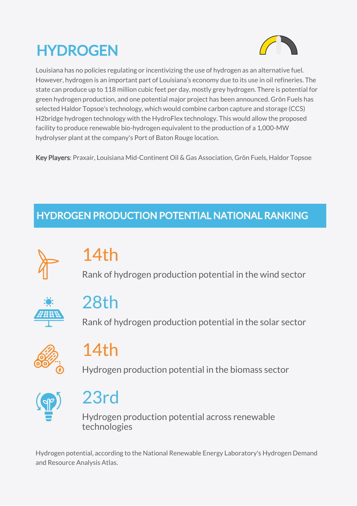## **HYDROGEN**



Louisiana has no policies regulating or incentivizing the use of hydrogen as an alternative fuel. However, hydrogen is an important part of Louisiana's economy due to its use in oil refineries. The state can produce up to 118 million cubic feet per day, mostly grey hydrogen. There is potential for green hydrogen production, and one potential major project has been announced. Grön Fuels has selected Haldor Topsoe's technology, which would combine carbon capture and storage (CCS) H2bridge hydrogen technology with the HydroFlex technology. This would allow the proposed facility to produce renewable bio-hydrogen equivalent to the production of a 1,000-MW hydrolyser plant at the company's Port of Baton Rouge location.

Key Players: Praxair, Louisiana Mid-Continent Oil & Gas Association, Grön Fuels, Haldor Topsoe

## HYDROGEN PRODUCTION POTENTIAL NATIONAL RANKING



## 14th

Rank of hydrogen production potential in the wind sector



## 28th

Rank of hydrogen production potential in the solar sector



## 14th

Hydrogen production potential in the biomass sector



## 23rd

Hydrogen production potential across renewable technologies

Hydrogen potential, according to the National Renewable Energy Laboratory's Hydrogen Demand and Resource Analysis Atlas.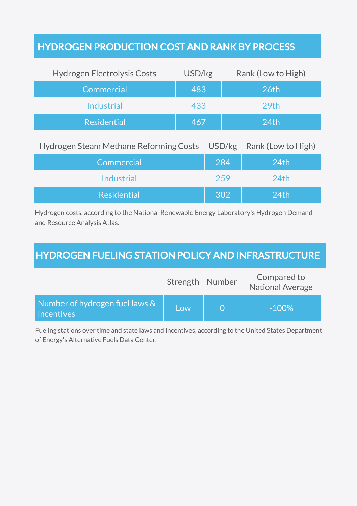## HYDROGEN PRODUCTION COST AND RANK BY PROCESS

| <b>Hydrogen Electrolysis Costs</b> | USD/kg | Rank (Low to High) |
|------------------------------------|--------|--------------------|
| Commercial                         | 483    | 26th               |
| Industrial                         | 433    | 29th               |
| <b>Residential</b>                 | 467    | 24 <sub>th</sub>   |
|                                    |        |                    |

Hydrogen Steam Methane Reforming Costs USD/kg Rank (Low to High)

| Commercial         | 284 | 24 <sub>th</sub> |
|--------------------|-----|------------------|
| <b>Industrial</b>  | 259 | 24th             |
| <b>Residential</b> | 302 | 24 <sub>th</sub> |

Hydrogen costs, according to the National Renewable Energy Laboratory's Hydrogen Demand and Resource Analysis Atlas.

## HYDROGEN FUELING STATION POLICY AND INFRASTRUCTURE

|                                              | Strength Number | Compared to<br><b>National Average</b> |
|----------------------------------------------|-----------------|----------------------------------------|
| Number of hydrogen fuel laws &<br>incentives | Low             | $-100\%$                               |

Fueling stations over time and state laws and incentives, according to the United States Department of Energy's Alternative Fuels Data Center.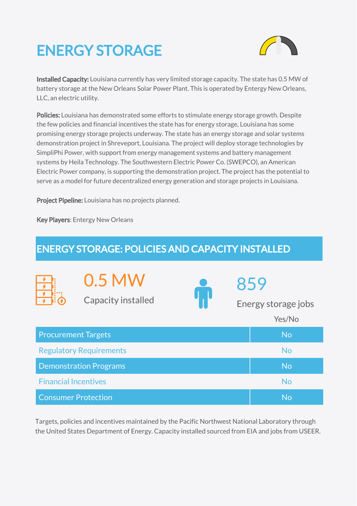## ENERGY STORAGE



Installed Capacity: Louisiana currently has very limited storage capacity. The state has 0.5 MW of battery storage at the New Orleans Solar Power Plant. This is operated by Entergy New Orleans, LLC, an electric utility.

Policies: Louisiana has demonstrated some efforts to stimulate energy storage growth. Despite the few policies and financial incentives the state has for energy storage, Louisiana has some promising energy storage projects underway. The state has an energy storage and solar systems [demonstration](https://energystorage.org/this-virtual-power-plant-demo-in-louisiana-tests-a-cool-new-solar-storage-platform/) project in Shreveport, Louisiana. The project will deploy storage technologies by SimpliPhi Power, with support from energy management systems and battery management systems by Heila Technology. The Southwestern Electric Power Co. (SWEPCO), an American Electric Power company, is supporting the demonstration project. The project has the potential to serve as a model for future decentralized energy generation and storage projects in Louisiana.

Project Pipeline: Louisiana has no projects planned.

Key Players: Entergy New [Orleans](https://www.entergy-neworleans.com/)

| <b>ENERGY STORAGE: POLICIES AND CAPACITY INSTALLED</b> |                                     |  |     |                     |
|--------------------------------------------------------|-------------------------------------|--|-----|---------------------|
|                                                        | 0.5 MW<br><b>Capacity installed</b> |  | 859 | Energy storage jobs |
|                                                        |                                     |  |     | Yes/No              |
| <b>Procurement Targets</b>                             |                                     |  |     | <b>No</b>           |
|                                                        | <b>Regulatory Requirements</b>      |  |     | <b>No</b>           |
|                                                        | <b>Demonstration Programs</b>       |  |     | <b>No</b>           |
| <b>Financial Incentives</b>                            |                                     |  |     | <b>No</b>           |
| <b>Consumer Protection</b>                             |                                     |  |     | No                  |

Targets, policies and incentives maintained by the Pacific Northwest National Laboratory through the United States Department of Energy. Capacity installed sourced from EIA and jobs from USEER.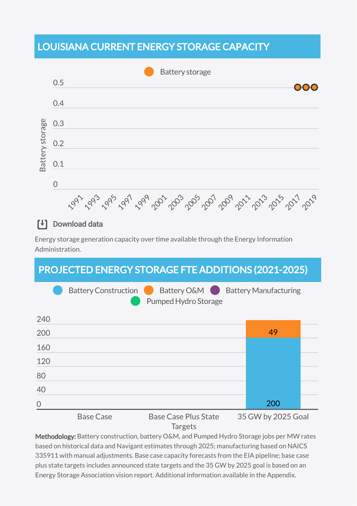## LOUISIANA CURRENT ENERGY STORAGE CAPACITY



#### $\mathsf{F}$ Download data

Energy storage generation capacity over time available through the Energy Information Administration.

### PROJECTED ENERGY STORAGE FTE ADDITIONS (2021-2025)



Targets

Methodology: Battery construction, battery O&M, and Pumped Hydro Storage jobs per MW rates based on historical data and Navigant estimates through 2025; manufacturing based on NAICS 335911 with manual adjustments. Base case capacity forecasts from the EIA pipeline; base case plus state targets includes announced state targets and the 35 GW by 2025 goal is based on an Energy Storage Association vision report. Additional information available in the Appendix.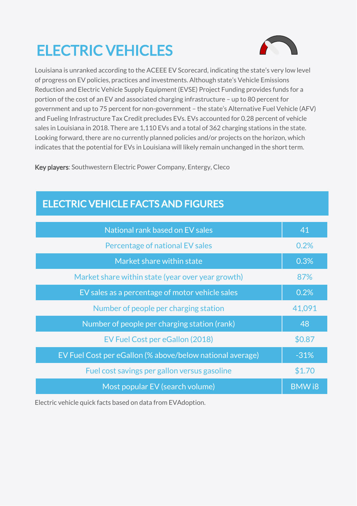## ELECTRIC VEHICLES



Louisiana is unranked according to the ACEEE EV [Scorecard,](https://www.aceee.org/sites/default/files/pdfs/t2101.pdf) indicating the state's very low level of progress on EV policies, practices and investments. Although state's Vehicle Emissions Reduction and Electric Vehicle Supply Equipment (EVSE) Project Funding provides funds for a portion of the cost of an EV and associated charging infrastructure – up to 80 percent for government and up to 75 percent for non-government – the state's Alternative Fuel Vehicle (AFV) and Fueling Infrastructure Tax Credit precludes EVs. EVs [accounted](https://evadoption.com/ev-market-share/ev-market-share-state/) for 0.28 percent of vehicle sales in Louisiana in 2018. There are 1,110 EVs and a total of 362 charging stations in the state. Looking forward, there are no currently planned policies and/or projects on the horizon, which indicates that the potential for EVs in Louisiana will likely remain unchanged in the short term.

Key players: [Southwestern](https://swepco.com/) Electric Power Company, [Entergy,](https://www.entergy.com/) [Cleco](https://www.cleco.com/)

## ELECTRIC VEHICLE FACTS AND FIGURES

| National rank based on EV sales                           | 41           |
|-----------------------------------------------------------|--------------|
| Percentage of national EV sales                           | 0.2%         |
| Market share within state                                 | 0.3%         |
| Market share within state (year over year growth)         | 87%          |
| EV sales as a percentage of motor vehicle sales           | 0.2%         |
| Number of people per charging station                     | 41,091       |
| Number of people per charging station (rank)              | 48           |
| EV Fuel Cost per eGallon (2018)                           | \$0.87       |
| EV Fuel Cost per eGallon (% above/below national average) | $-31%$       |
| Fuel cost savings per gallon versus gasoline              | \$1.70       |
| Most popular EV (search volume)                           | <b>BMW18</b> |

Electric vehicle quick facts based on data from EVAdoption.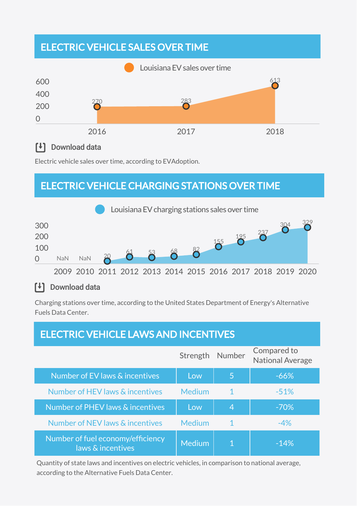## ELECTRIC VEHICLE SALES OVER TIME



### [+] Download data

Electric vehicle sales over time, according to EVAdoption.

## ELECTRIC VEHICLE CHARGING STATIONS OVER TIME



### [<sup>↓</sup>] Download data

Charging stations over time, according to the United States Department of Energy's Alternative Fuels Data Center.

## ELECTRIC VEHICLE LAWS AND INCENTIVES

|                                                        | Strength      | Number | Compared to<br><b>National Average</b> |
|--------------------------------------------------------|---------------|--------|----------------------------------------|
| Number of EV laws & incentives                         | Low           | 5      | $-66%$                                 |
| Number of HEV laws & incentives                        | <b>Medium</b> | 1      | $-51%$                                 |
| Number of PHEV laws & incentives                       | Low           | 4      | $-70%$                                 |
| Number of NEV laws & incentives                        | Medium        | 1      | $-4%$                                  |
| Number of fuel economy/efficiency<br>laws & incentives | Medium        |        | $-14%$                                 |

Quantity of state laws and incentives on electric vehicles, in comparison to national average, according to the Alternative Fuels Data Center.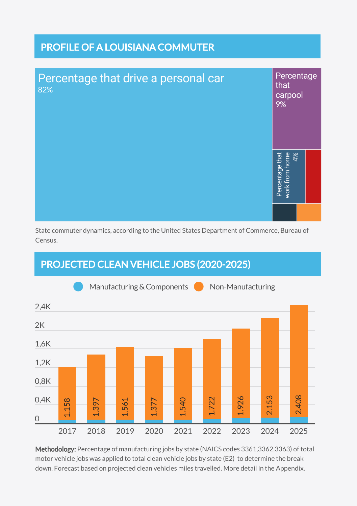## PROFILE OF A LOUISIANA COMMUTER



State commuter dynamics, according to the United States Department of Commerce, Bureau of Census.

## PROJECTED CLEAN VEHICLE JOBS (2020-2025)



Methodology: Percentage of manufacturing jobs by state (NAICS codes 3361,3362,3363) of total motor vehicle jobs was applied to total clean vehicle jobs by state (E2) to determine the break down. Forecast based on projected clean vehicles miles travelled. More detail in the Appendix.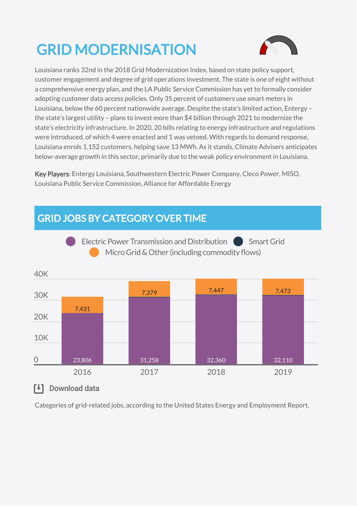## GRID MODERNISATION



Louisiana ranks [32nd](https://gridwise.org/grid-modernization-index/) in the 2018 Grid Modernization Index, based on state policy support, customer engagement and degree of grid operations investment. The state is one of eight without a [comprehensive](https://naseo.org/stateenergyplans) energy plan, and the LA Public Service Commission has yet to formally [consider](https://spotforcleanenergy.org/state/louisiana/customer-data-access/) adopting customer data access policies. Only 35 [percent](https://www.eia.gov/electricity/data/eia861/) of customers use smart meters in Louisiana, below the 60 percent nationwide average. Despite the state's limited action, Entergy – the state's largest utility – plans to invest more than \$4 billion [through](https://www.entergynewsroom.com/news/stronger-more-resilient-energy-grid-coming-jefferson-plaquemines-parishes/) 2021 to modernize the state's electricity infrastructure. In 2020, 20 [bills](https://www.aeltracker.org/) relating to energy infrastructure and regulations were introduced, of which 4 were enacted and 1 was vetoed. With regards to demand [response,](https://www.eia.gov/electricity/data/eia861/) Louisiana enrols 1,152 customers, helping save 13 MWh. As it stands, Climate Advisers anticipates below-average growth in this sector, primarily due to the weak policy environment in Louisiana.

Key Players: Entergy [Louisiana](https://www.entergy-louisiana.com/), [Southwestern](https://www.swepco.com/) Electric Power Company, Cleco [Power](https://www.cleco.com/), [MISO,](https://www.misoenergy.org/) Louisiana Public Service [Commission](http://www.lpsc.louisiana.gov/), Alliance for [Affordable](https://www.all4energy.org/) Energy



[<sup>↓</sup>] Download data

Categories of grid-related jobs, according to the United States Energy and Employment Report.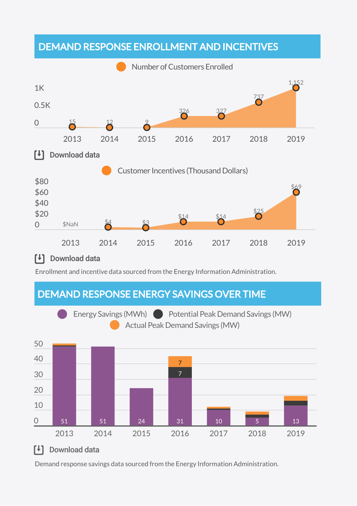## DEMAND RESPONSE ENROLLMENT AND INCENTIVES



### [<sup>↓</sup>] Download data

Enrollment and incentive data sourced from the Energy Information Administration.



Demand response savings data sourced from the Energy Information Administration.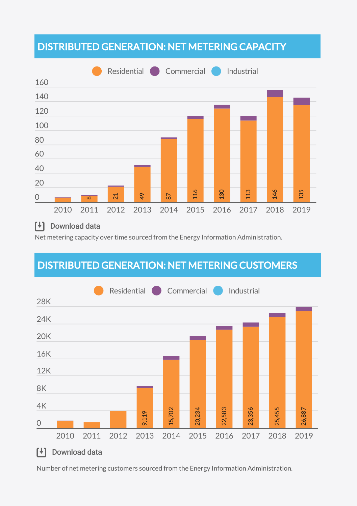## DISTRIBUTED GENERATION: NET METERING CAPACITY



### [<sup>↓</sup>] Download data

Net metering capacity over time sourced from the Energy Information Administration.

## DISTRIBUTED GENERATION: NET METERING CUSTOMERS



Number of net metering customers sourced from the Energy Information Administration.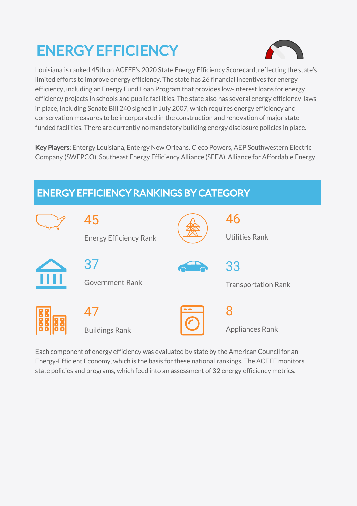## ENERGY EFFICIENCY



Louisiana is ranked [45th](https://database.aceee.org/state/louisiana) on ACEEE's 2020 State Energy Efficiency Scorecard, reflecting the state's limited efforts to improve energy efficiency. The state has [26](https://programs.dsireusa.org/system/program?state=LA) financial incentives for energy efficiency, including an Energy Fund Loan Program that provides low-interest loans for energy efficiency projects in schools and public facilities. The state also has several energy efficiency laws in place, including [Senate](http://www.dnr.louisiana.gov/assets/docs/energy/programs/Act_270_2007.pdf) Bill 240 signed in July 2007, which requires energy efficiency and conservation measures to be incorporated in the construction and renovation of major statefunded facilities. There are currently no mandatory building energy disclosure policies in place.

Key Players: Entergy [Louisiana,](https://www.entergy-louisiana.com/) Entergy New [Orleans,](https://www.entergy-neworleans.com/) Cleco [Powers,](https://www.cleco.com/) AEP [Southwestern](https://www.swepco.com/) Electric Company (SWEPCO), [Southeast](https://www.seealliance.org/) Energy Efficiency Alliance (SEEA), Alliance for [Affordable](https://www.all4energy.org/) Energy



Each component of energy efficiency was evaluated by state by the American Council for an Energy-Efficient Economy, which is the basis for these national rankings. The ACEEE monitors state policies and programs, which feed into an assessment of 32 energy efficiency metrics.

### ENERGY EFFICIENCY RANKINGS BY CATEGORY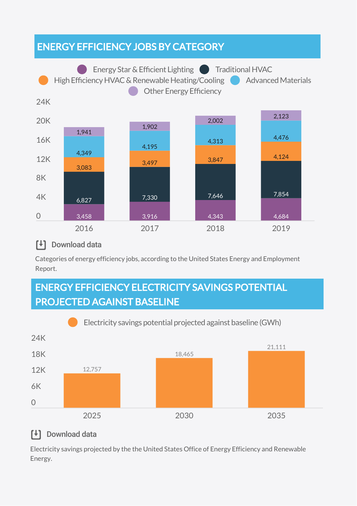## ENERGY EFFICIENCY JOBS BY CATEGORY



#### $\mathsf{F}$ Download data

Categories of energy efficiency jobs, according to the United States Energy and Employment Report.

## ENERGY EFFICIENCY ELECTRICITY SAVINGS POTENTIAL PROJECTED AGAINST BASELINE



### [<sup>↓</sup>] Download data

Electricity savings projected by the the United States Office of Energy Efficiency and Renewable Energy.